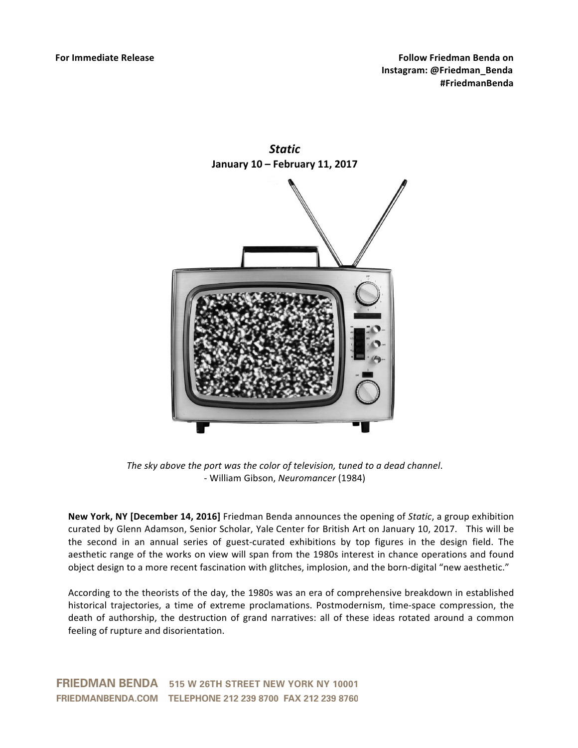

*Static* **January 10 – February 11, 2017**

*The sky above the port was the color of television, tuned to a dead channel.* - William Gibson, *Neuromancer* (1984)

**New York, NY [December 14, 2016]** Friedman Benda announces the opening of *Static*, a group exhibition curated by Glenn Adamson, Senior Scholar, Yale Center for British Art on January 10, 2017. This will be the second in an annual series of guest-curated exhibitions by top figures in the design field. The aesthetic range of the works on view will span from the 1980s interest in chance operations and found object design to a more recent fascination with glitches, implosion, and the born-digital "new aesthetic."

According to the theorists of the day, the 1980s was an era of comprehensive breakdown in established historical trajectories, a time of extreme proclamations. Postmodernism, time-space compression, the death of authorship, the destruction of grand narratives: all of these ideas rotated around a common feeling of rupture and disorientation.

FRIEDMAN BENDA 515 W 26TH STREET NEW YORK NY 10001 FRIEDMANBENDA.COM TELEPHONE 212 239 8700 FAX 212 239 8760